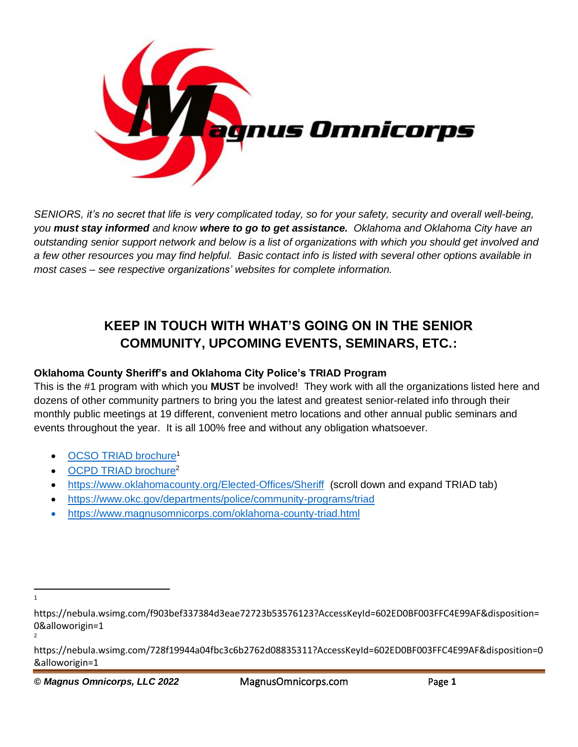

*SENIORS, it's no secret that life is very complicated today, so for your safety, security and overall well-being, you must stay informed and know where to go to get assistance. Oklahoma and Oklahoma City have an outstanding senior support network and below is a list of organizations with which you should get involved and a few other resources you may find helpful. Basic contact info is listed with several other options available in most cases – see respective organizations' websites for complete information.*

# **KEEP IN TOUCH WITH WHAT'S GOING ON IN THE SENIOR COMMUNITY, UPCOMING EVENTS, SEMINARS, ETC.:**

## **Oklahoma County Sheriff's and Oklahoma City Police's TRIAD Program**

This is the #1 program with which you **MUST** be involved! They work with all the organizations listed here and dozens of other community partners to bring you the latest and greatest senior-related info through their monthly public meetings at 19 different, convenient metro locations and other annual public seminars and events throughout the year. It is all 100% free and without any obligation whatsoever.

- OCSO TRIAD [brochure](https://nebula.wsimg.com/f903bef337384d3eae72723b53576123?AccessKeyId=602ED0BF003FFC4E99AF&disposition=0&alloworigin=1)<sup>1</sup>
- [OCPD TRIAD brochure](https://nebula.wsimg.com/728f19944a04fbc3c6b2762d08835311?AccessKeyId=602ED0BF003FFC4E99AF&disposition=0&alloworigin=1)<sup>2</sup>
- <https://www.oklahomacounty.org/Elected-Offices/Sheriff>(scroll down and expand TRIAD tab)
- <https://www.okc.gov/departments/police/community-programs/triad>
- <https://www.magnusomnicorps.com/oklahoma-county-triad.html>

1

https://nebula.wsimg.com/f903bef337384d3eae72723b53576123?AccessKeyId=602ED0BF003FFC4E99AF&disposition= 0&alloworigin=1

<sup>2</sup>

https://nebula.wsimg.com/728f19944a04fbc3c6b2762d08835311?AccessKeyId=602ED0BF003FFC4E99AF&disposition=0 &alloworigin=1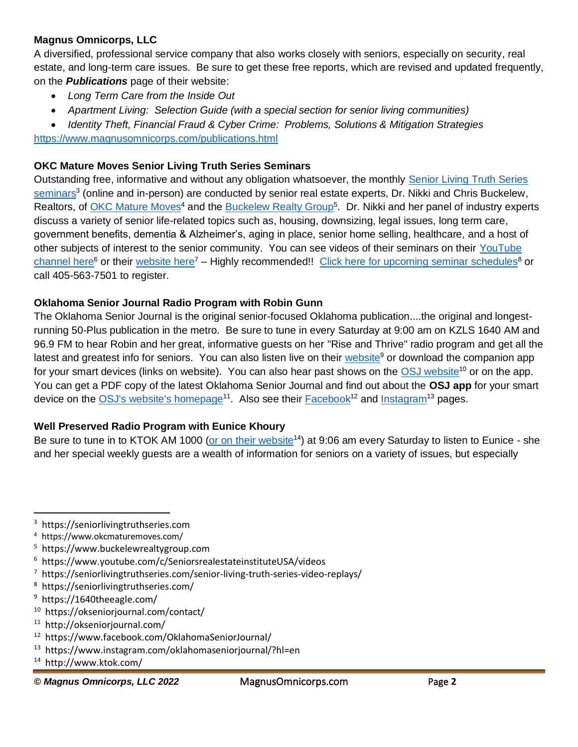#### **Magnus Omnicorps, LLC**

A diversified, professional service company that also works closely with seniors, especially on security, real estate, and long-term care issues. Be sure to get these free reports, which are revised and updated frequently, on the *Publications* page of their website:

- *Long Term Care from the Inside Out*
- *Apartment Living: Selection Guide (with a special section for senior living communities)*
- *Identity Theft, Financial Fraud & Cyber Crime: Problems, Solutions & Mitigation Strategies*

<https://www.magnusomnicorps.com/publications.html>

## **OKC Mature Moves Senior Living Truth Series Seminars**

Outstanding free, informative and without any obligation whatsoever, the monthly [Senior Living Truth Series](https://seniorlivingtruthseries.com/)  [seminars](https://seniorlivingtruthseries.com/)<sup>3</sup> (online and in-person) are conducted by senior real estate experts, Dr. Nikki and Chris Buckelew, Realtors, of [OKC Mature Moves](https://www.okcmaturemoves.com/)<sup>4</sup> and the [Buckelew Realty Group](https://www.buckelewrealtygroup.com/)<sup>5</sup>. Dr. Nikki and her panel of industry experts discuss a variety of senior life-related topics such as, housing, downsizing, legal issues, long term care, government benefits, dementia & Alzheimer's, aging in place, senior home selling, healthcare, and a host of other subjects of interest to the senior community. You can see videos of their seminars on their [YouTube](https://www.youtube.com/c/SeniorsrealestateinstituteUSA/videos)  [channel here](https://www.youtube.com/c/SeniorsrealestateinstituteUSA/videos)<sup>6</sup> or their [website here](https://seniorlivingtruthseries.com/senior-living-truth-series-video-replays/)<sup>7</sup> – Highly recommended!! [Click here for upcoming seminar schedules](https://seniorlivingtruthseries.com/)<sup>8</sup> or call 405-563-7501 to register.

## **Oklahoma Senior Journal Radio Program with Robin Gunn**

The Oklahoma Senior Journal is the original senior-focused Oklahoma publication....the original and longestrunning 50-Plus publication in the metro. Be sure to tune in every Saturday at 9:00 am on KZLS 1640 AM and 96.9 FM to hear Robin and her great, informative guests on her "Rise and Thrive" radio program and get all the latest and greatest info for seniors. You can also listen live on their [website](https://1640theeagle.com/)<sup>9</sup> or download the companion app for your smart devices (links on website). You can also hear past shows on the [OSJ website](https://okseniorjournal.com/contact/)<sup>10</sup> or on the app. You can get a PDF copy of the latest Oklahoma Senior Journal and find out about the **OSJ app** for your smart device on the [OSJ's website's homepage](http://okseniorjournal.com/)<sup>11</sup>. Also see their **[Facebook](https://www.facebook.com/OklahomaSeniorJournal/)<sup>12</sup> and [Instagram](https://www.instagram.com/oklahomaseniorjournal/?hl=en)<sup>13</sup> pages**.

#### **Well Preserved Radio Program with Eunice Khoury**

Be sure to tune in to KTOK AM 1000 [\(or on their website](http://www.ktok.com/)<sup>14</sup>) at 9:06 am every Saturday to listen to Eunice - she and her special weekly guests are a wealth of information for seniors on a variety of issues, but especially

- 4 https://www.okcmaturemoves.com/
- 5 https://www.buckelewrealtygroup.com
- 6 https://www.youtube.com/c/SeniorsrealestateinstituteUSA/videos
- <sup>7</sup> https://seniorlivingtruthseries.com/senior-living-truth-series-video-replays/
- 8 https://seniorlivingtruthseries.com/
- <sup>9</sup> https://1640theeagle.com/
- 10 https://okseniorjournal.com/contact/
- 11 http://okseniorjournal.com/
- 12 https://www.facebook.com/OklahomaSeniorJournal/
- 13 https://www.instagram.com/oklahomaseniorjournal/?hl=en
- 14 http://www.ktok.com/
- *© Magnus Omnicorps, LLC 2022* MagnusOmnicorps.com Page **2**

<sup>3</sup> https://seniorlivingtruthseries.com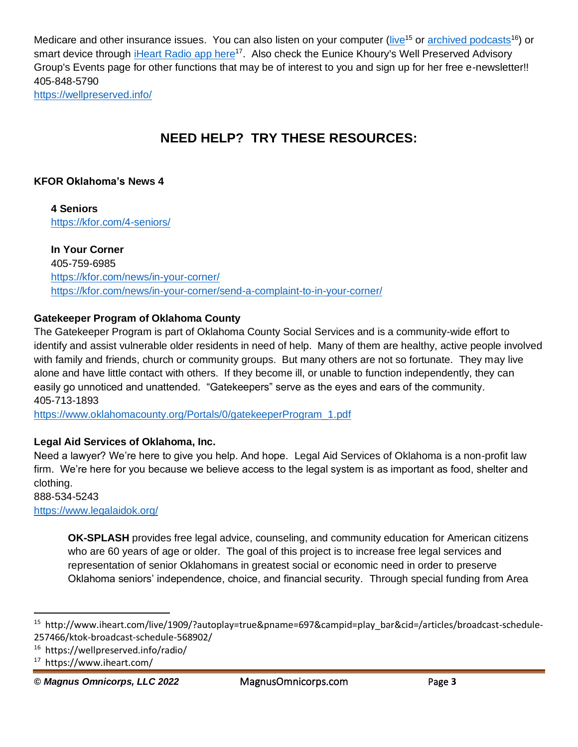Medicare and other insurance issues. You can also listen on your computer [\(live](http://www.iheart.com/live/1909/?autoplay=true&pname=697&campid=play_bar&cid=/articles/broadcast-schedule-257466/ktok-broadcast-schedule-568902/)<sup>15</sup> or [archived podcasts](https://wellpreserved.info/radio/)<sup>16</sup>) or smart device through *[iHeart Radio app here](https://www.iheart.com/)<sup>17</sup>.* Also check the Eunice Khoury's Well Preserved Advisory Group's Events page for other functions that may be of interest to you and sign up for her free e-newsletter!! 405-848-5790 <https://wellpreserved.info/>

## **NEED HELP? TRY THESE RESOURCES:**

## **KFOR Oklahoma's News 4**

**4 Seniors** <https://kfor.com/4-seniors/>

## **In Your Corner**

405-759-6985 <https://kfor.com/news/in-your-corner/> <https://kfor.com/news/in-your-corner/send-a-complaint-to-in-your-corner/>

## **Gatekeeper Program of Oklahoma County**

The Gatekeeper Program is part of Oklahoma County Social Services and is a community-wide effort to identify and assist vulnerable older residents in need of help. Many of them are healthy, active people involved with family and friends, church or community groups. But many others are not so fortunate. They may live alone and have little contact with others. If they become ill, or unable to function independently, they can easily go unnoticed and unattended. "Gatekeepers" serve as the eyes and ears of the community. 405-713-1893

[https://www.oklahomacounty.org/Portals/0/gatekeeperProgram\\_1.pdf](https://www.oklahomacounty.org/Portals/0/gatekeeperProgram_1.pdf)

## **Legal Aid Services of Oklahoma, Inc.**

Need a lawyer? We're here to give you help. And hope. Legal Aid Services of Oklahoma is a non-profit law firm. We're here for you because we believe access to the legal system is as important as food, shelter and clothing.

888-534-5243 <https://www.legalaidok.org/>

> **OK-SPLASH** provides free legal advice, counseling, and community education for American citizens who are 60 years of age or older. The goal of this project is to increase free legal services and representation of senior Oklahomans in greatest social or economic need in order to preserve Oklahoma seniors' independence, choice, and financial security. Through special funding from Area

*© Magnus Omnicorps, LLC 2022* MagnusOmnicorps.com Page **3**

<sup>15</sup> http://www.iheart.com/live/1909/?autoplay=true&pname=697&campid=play\_bar&cid=/articles/broadcast-schedule-257466/ktok-broadcast-schedule-568902/

<sup>16</sup> https://wellpreserved.info/radio/

<sup>17</sup> https://www.iheart.com/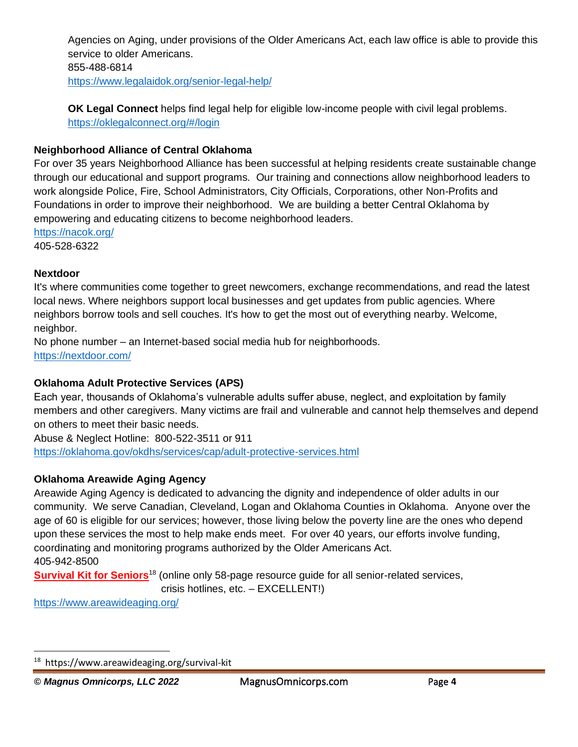Agencies on Aging, under provisions of the Older Americans Act, each law office is able to provide this service to older Americans. 855-488-6814 <https://www.legalaidok.org/senior-legal-help/>

**OK Legal Connect** helps find legal help for eligible low-income people with civil legal problems. <https://oklegalconnect.org/#/login>

## **Neighborhood Alliance of Central Oklahoma**

For over 35 years Neighborhood Alliance has been successful at helping residents create sustainable change through our educational and support programs. Our training and connections allow neighborhood leaders to work alongside Police, Fire, School Administrators, City Officials, Corporations, other Non-Profits and Foundations in order to improve their neighborhood. We are building a better Central Oklahoma by empowering and educating citizens to become neighborhood leaders.

<https://nacok.org/> 405-528-6322

#### **Nextdoor**

It's where communities come together to greet newcomers, exchange recommendations, and read the latest local news. Where neighbors support local businesses and get updates from public agencies. Where neighbors borrow tools and sell couches. It's how to get the most out of everything nearby. Welcome, neighbor.

No phone number – an Internet-based social media hub for neighborhoods. <https://nextdoor.com/>

#### **Oklahoma Adult Protective Services (APS)**

Each year, thousands of Oklahoma's vulnerable adults suffer abuse, neglect, and exploitation by family members and other caregivers. Many victims are frail and vulnerable and cannot help themselves and depend on others to meet their basic needs.

Abuse & Neglect Hotline: 800-522-3511 or 911 <https://oklahoma.gov/okdhs/services/cap/adult-protective-services.html>

#### **Oklahoma Areawide Aging Agency**

Areawide Aging Agency is dedicated to advancing the dignity and independence of older adults in our community. We serve Canadian, Cleveland, Logan and Oklahoma Counties in Oklahoma. Anyone over the age of 60 is eligible for our services; however, those living below the poverty line are the ones who depend upon these services the most to help make ends meet. For over 40 years, our efforts involve funding, coordinating and monitoring programs authorized by the Older Americans Act. 405-942-8500

**[Survival Kit for Seniors](https://www.areawideaging.org/survival-kit)**<sup>18</sup> (online only 58-page resource guide for all senior-related services,

crisis hotlines, etc. – EXCELLENT!)

<https://www.areawideaging.org/>

<sup>18</sup> https://www.areawideaging.org/survival-kit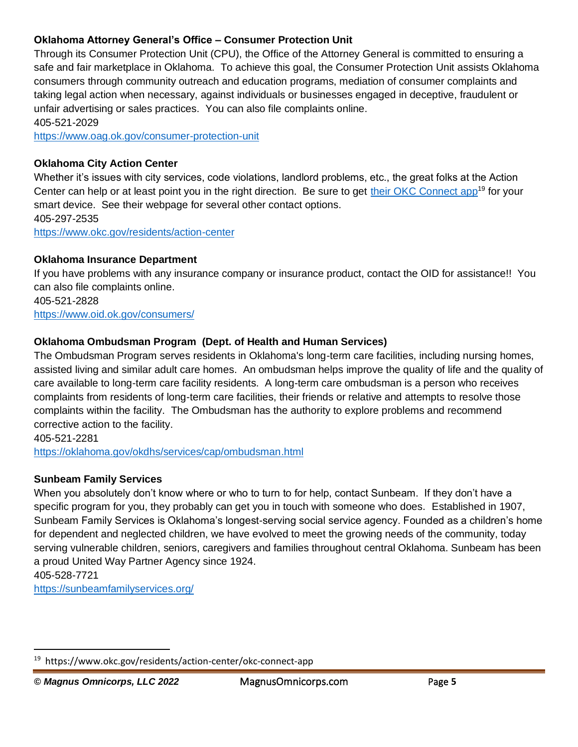## **Oklahoma Attorney General's Office – Consumer Protection Unit**

Through its Consumer Protection Unit (CPU), the Office of the Attorney General is committed to ensuring a safe and fair marketplace in Oklahoma. To achieve this goal, the Consumer Protection Unit assists Oklahoma consumers through community outreach and education programs, mediation of consumer complaints and taking legal action when necessary, against individuals or businesses engaged in deceptive, fraudulent or unfair advertising or sales practices. You can also file complaints online. 405-521-2029

<https://www.oag.ok.gov/consumer-protection-unit>

## **Oklahoma City Action Center**

Whether it's issues with city services, code violations, landlord problems, etc., the great folks at the Action Center can help or at least point you in the right direction. Be sure to get [their OKC Connect](https://www.okc.gov/residents/action-center/okc-connect-app) app<sup>19</sup> for your smart device. See their webpage for several other contact options. 405-297-2535 <https://www.okc.gov/residents/action-center>

#### **Oklahoma Insurance Department**

If you have problems with any insurance company or insurance product, contact the OID for assistance!! You can also file complaints online.

405-521-2828 <https://www.oid.ok.gov/consumers/>

## **Oklahoma Ombudsman Program (Dept. of Health and Human Services)**

The Ombudsman Program serves residents in Oklahoma's long-term care facilities, including nursing homes, assisted living and similar adult care homes. An ombudsman helps improve the quality of life and the quality of care available to long-term care facility residents. A long-term care ombudsman is a person who receives complaints from residents of long-term care facilities, their friends or relative and attempts to resolve those complaints within the facility. The Ombudsman has the authority to explore problems and recommend corrective action to the facility.

405-521-2281 <https://oklahoma.gov/okdhs/services/cap/ombudsman.html>

#### **Sunbeam Family Services**

When you absolutely don't know where or who to turn to for help, contact Sunbeam. If they don't have a specific program for you, they probably can get you in touch with someone who does. Established in 1907, Sunbeam Family Services is Oklahoma's longest-serving social service agency. Founded as a children's home for dependent and neglected children, we have evolved to meet the growing needs of the community, today serving vulnerable children, seniors, caregivers and families throughout central Oklahoma. Sunbeam has been a proud United Way Partner Agency since 1924.

405-528-7721

<https://sunbeamfamilyservices.org/>

<sup>&</sup>lt;sup>19</sup> https://www.okc.gov/residents/action-center/okc-connect-app